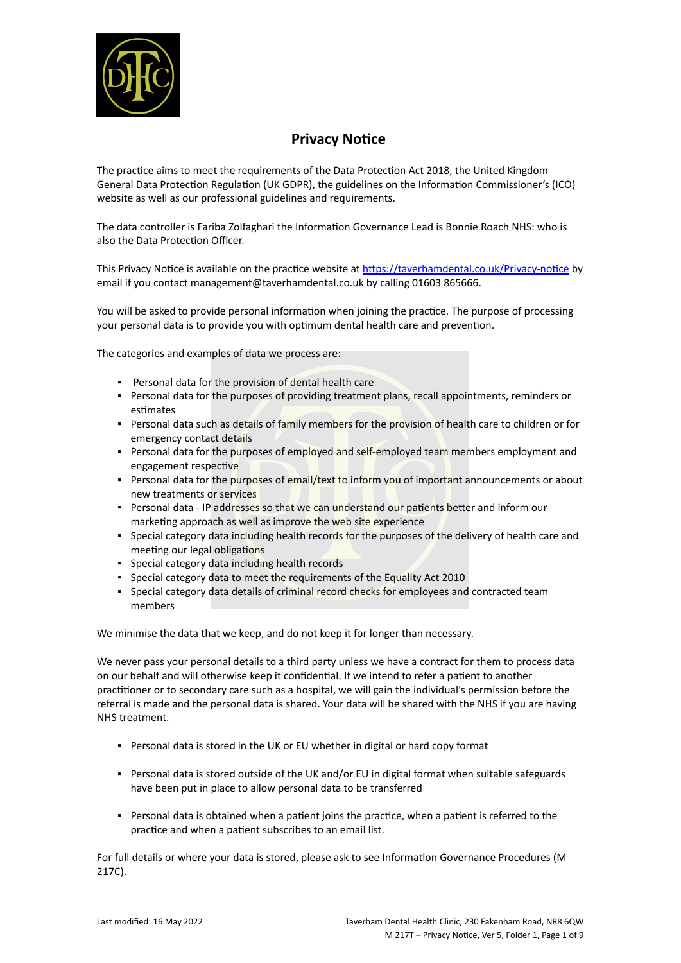

# **Privacy Notice**

The practice aims to meet the requirements of the Data Protection Act 2018, the United Kingdom General Data Protection Regulation (UK GDPR), the guidelines on the Information Commissioner's (ICO) website as well as our professional guidelines and requirements.

The data controller is Fariba Zolfaghari the Information Governance Lead is Bonnie Roach NHS: who is also the Data Protection Officer.

This Privacy Notice is available on the practice website at [https://taverhamdental.co.uk/Privacy-notice](https://taverhamdental.co.uk/wp-content/uploads/2021/03/M-217T-Privacy-Notice-Ver-4-2.pdf) by email if you contact [management@taverhamdental.co.uk](mailto:info@practice.com) by calling 01603 865666.

You will be asked to provide personal information when joining the practice. The purpose of processing your personal data is to provide you with optimum dental health care and prevention.

The categories and examples of data we process are:

- **•** Personal data for the provision of dental health care
- **Personal data for the purposes of providing treatment plans, recall appointments, reminders or** estimates
- Personal data such as details of family members for the provision of health care to children or for emergency contact details
- **Personal data for the purposes of employed and self-employed team members employment and** engagement respective
- Personal data for the purposes of email/text to inform you of important announcements or about new treatments or services
- Personal data IP addresses so that we can understand our patients better and inform our marketing approach as well as improve the web site experience
- Special category data including health records for the purposes of the delivery of health care and meeting our legal obligations
- Special category data including health records
- Special category data to meet the requirements of the Equality Act 2010
- Special category data details of criminal record checks for employees and contracted team members

We minimise the data that we keep, and do not keep it for longer than necessary.

We never pass your personal details to a third party unless we have a contract for them to process data on our behalf and will otherwise keep it confidential. If we intend to refer a patient to another practitioner or to secondary care such as a hospital, we will gain the individual's permission before the referral is made and the personal data is shared. Your data will be shared with the NHS if you are having NHS treatment.

- Personal data is stored in the UK or EU whether in digital or hard copy format
- Personal data is stored outside of the UK and/or EU in digital format when suitable safeguards have been put in place to allow personal data to be transferred
- Personal data is obtained when a patient joins the practice, when a patient is referred to the practice and when a patient subscribes to an email list.

For full details or where your data is stored, please ask to see Information Governance Procedures (M 217C).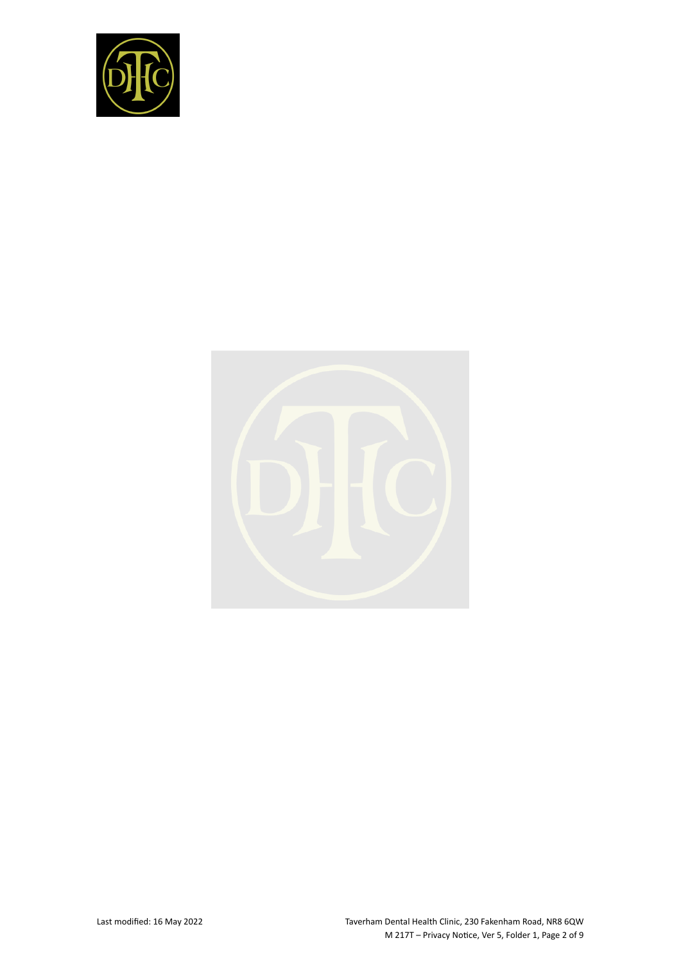

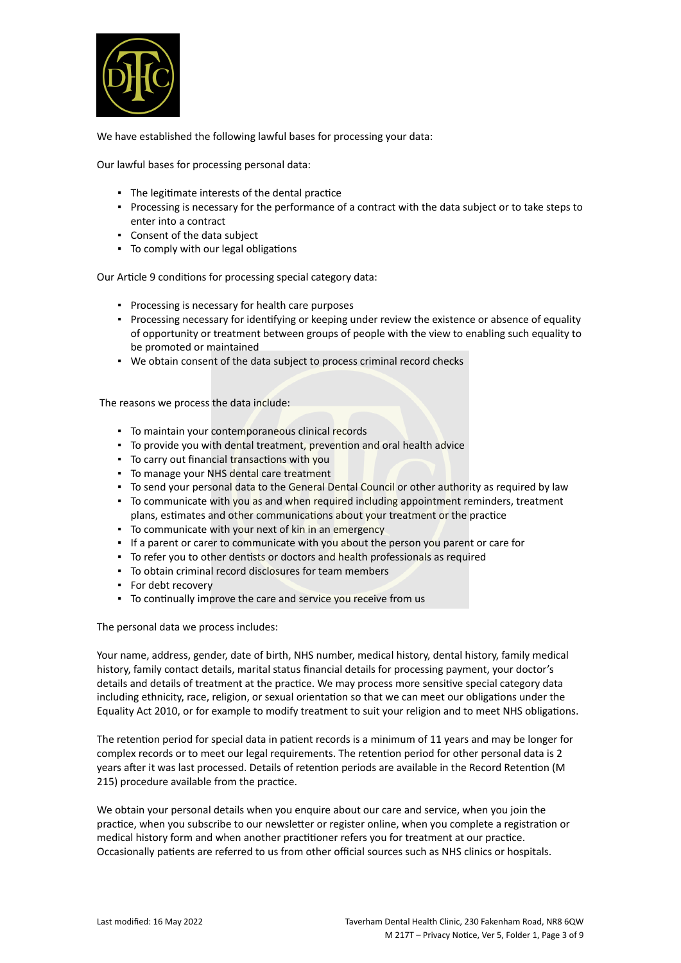

We have established the following lawful bases for processing your data:

Our lawful bases for processing personal data:

- The legitimate interests of the dental practice
- Processing is necessary for the performance of a contract with the data subject or to take steps to enter into a contract
- Consent of the data subject
- To comply with our legal obligations

Our Article 9 conditions for processing special category data:

- Processing is necessary for health care purposes
- Processing necessary for identifying or keeping under review the existence or absence of equality of opportunity or treatment between groups of people with the view to enabling such equality to be promoted or maintained
- We obtain consent of the data subject to process criminal record checks

The reasons we process the data include:

- **To maintain your contemporaneous clinical records**
- To provide you with dental treatment, prevention and oral health advice
- To carry out financial transactions with you
- **·** To manage your NHS dental care treatment
- To send your personal data to the General Dental Council or other authority as required by law
- To communicate with you as and when required including appointment reminders, treatment plans, estimates and other communications about your treatment or the practice
- To communicate with your next of kin in an emergency
- **.** If a parent or carer to communicate with you about the person you parent or care for
- To refer you to other dentists or doctors and health professionals as required
- To obtain criminal record disclosures for team members
- For debt recovery
- **•** To continually improve the care and service you receive from us

The personal data we process includes:

Your name, address, gender, date of birth, NHS number, medical history, dental history, family medical history, family contact details, marital status financial details for processing payment, your doctor's details and details of treatment at the practice. We may process more sensitive special category data including ethnicity, race, religion, or sexual orientation so that we can meet our obligations under the Equality Act 2010, or for example to modify treatment to suit your religion and to meet NHS obligations.

The retention period for special data in patient records is a minimum of 11 years and may be longer for complex records or to meet our legal requirements. The retention period for other personal data is 2 years after it was last processed. Details of retention periods are available in the Record Retention (M 215) procedure available from the practice.

We obtain your personal details when you enquire about our care and service, when you join the practice, when you subscribe to our newsletter or register online, when you complete a registration or medical history form and when another practitioner refers you for treatment at our practice. Occasionally patients are referred to us from other official sources such as NHS clinics or hospitals.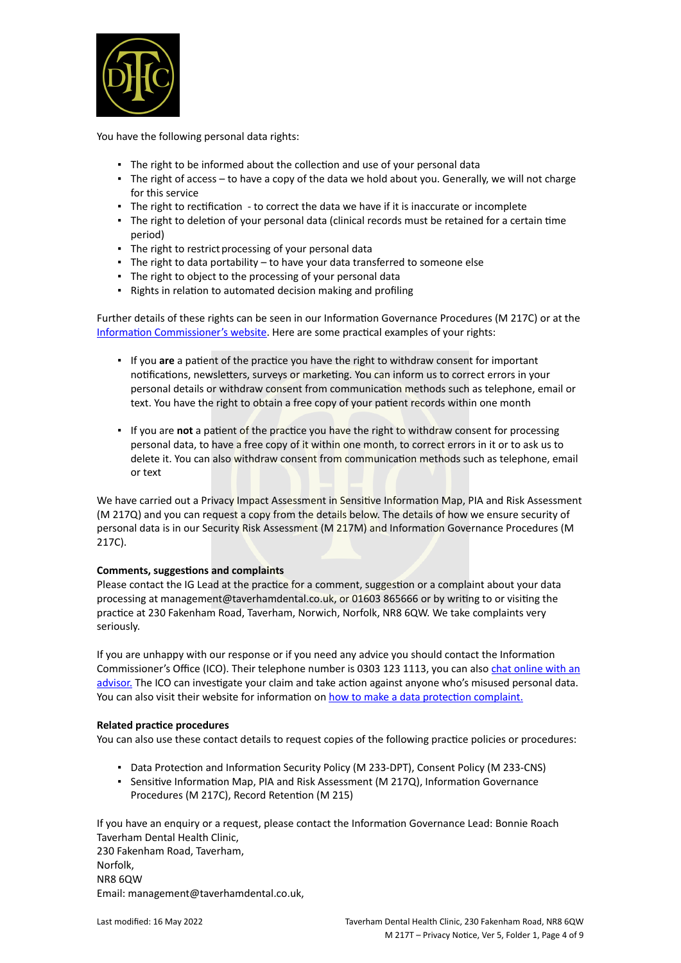

You have the following personal data rights:

- The right to be informed about the collection and use of your personal data
- The right of access to have a copy of the data we hold about you. Generally, we will not charge for this service
- The right to rectification to correct the data we have if it is inaccurate or incomplete
- The right to deletion of your personal data (clinical records must be retained for a certain time period)
- **·** The right to restrict processing of your personal data
- The right to data portability to have your data transferred to someone else
- The right to object to the processing of your personal data
- Rights in relation to automated decision making and profiling

Further details of these rights can be seen in our Information Governance Procedures (M 217C) or at the [Information Commissioner's website](https://ico.org.uk/for-organisations/guide-to-the-general-data-protection-regulation-gdpr/individual-rights/). Here are some practical examples of your rights:

- If you **are** a patient of the practice you have the right to withdraw consent for important notifications, newsletters, surveys or marketing. You can inform us to correct errors in your personal details or withdraw consent from communication methods such as telephone, email or text. You have the right to obtain a free copy of your patient records within one month
- If you are **not** a patient of the practice you have the right to withdraw consent for processing personal data, to have a free copy of it within one month, to correct errors in it or to ask us to delete it. You can also withdraw consent from communication methods such as telephone, email or text

We have carried out a Privacy Impact Assessment in Sensitive Information Map, PIA and Risk Assessment (M 217Q) and you can request a copy from the details below. The details of how we ensure security of personal data is in our Security Risk Assessment (M 217M) and Information Governance Procedures (M 217C).

## **Comments, suggestions and complaints**

Please contact the IG Lead at the practice for a comment, suggestion or a complaint about your data processing at management@taverhamdental.co.uk, or 01603 865666 or by writing to or visiting the practice at 230 Fakenham Road, Taverham, Norwich, Norfolk, NR8 6QW. We take complaints very seriously.

If you are unhappy with our response or if you need any advice you should contact the Information Commissioner's Office (ICO). Their telephone number is 0303 123 1113, you can also [chat online with an](https://ico.org.uk/global/contact-us/live-chat/) [advisor.](https://ico.org.uk/global/contact-us/live-chat/) The ICO can investigate your claim and take action against anyone who's misused personal data. You can also visit their website for information on [how to make a data protection complaint.](http://www.ico.org.uk/complaints)

## **Related practice procedures**

You can also use these contact details to request copies of the following practice policies or procedures:

- Data Protection and Information Security Policy (M 233-DPT), Consent Policy (M 233-CNS)
- **Sensitive Information Map, PIA and Risk Assessment (M 217Q), Information Governance** Procedures (M 217C), Record Retention (M 215)

If you have an enquiry or a request, please contact the Information Governance Lead: Bonnie Roach Taverham Dental Health Clinic, 230 Fakenham Road, Taverham, Norfolk, NR8 6QW Email: management@taverhamdental.co.uk,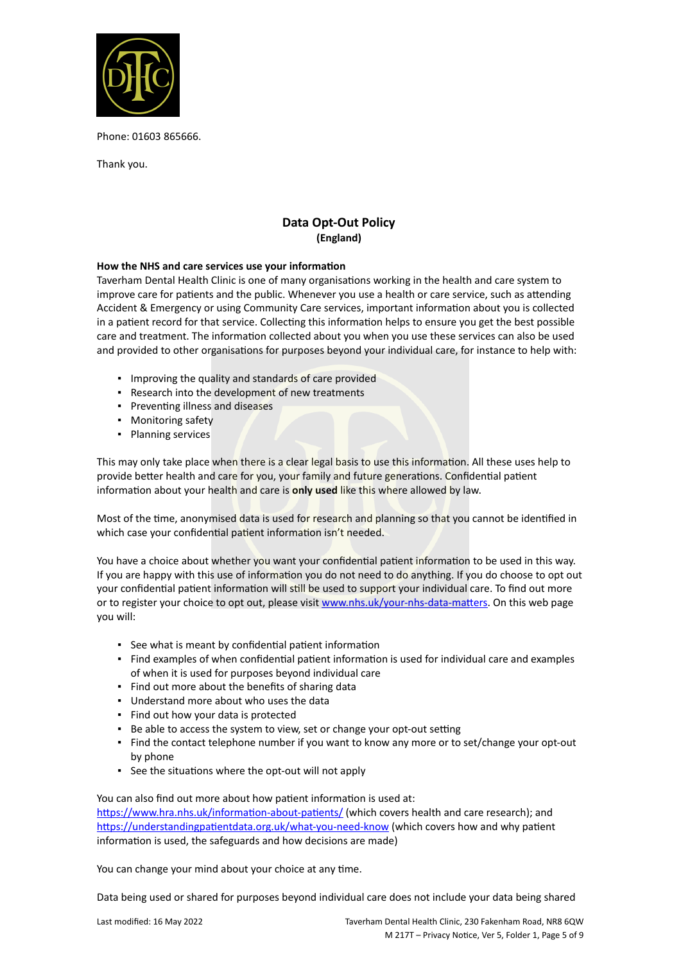

Phone: 01603 865666.

Thank you.

# **Data Opt-Out Policy (England)**

## **How the NHS and care services use your information**

Taverham Dental Health Clinic is one of many organisations working in the health and care system to improve care for patients and the public. Whenever you use a health or care service, such as attending Accident & Emergency or using Community Care services, important information about you is collected in a patient record for that service. Collecting this information helps to ensure you get the best possible care and treatment. The information collected about you when you use these services can also be used and provided to other organisations for purposes beyond your individual care, for instance to help with:

- **.** Improving the quality and standards of care provided
- Research into the development of new treatments
- **•** Preventing illness and diseases
- Monitoring safety
- Planning services

This may only take place when there is a clear legal basis to use this information. All these uses help to provide better health and care for you, your family and future generations. Confidential patient information about your health and care is **only used** like this where allowed by law.

Most of the time, anonymised data is used for research and planning so that you cannot be identified in which case your confidential patient information isn't needed.

You have a choice about whether you want your confidential patient information to be used in this way. If you are happy with this use of information you do not need to do anything. If you do choose to opt out your confidential patient information will still be used to support your individual care. To find out more or to register your choice to opt out, please visit [www.nhs.uk/your-nhs-data-matters](http://www.nhs.uk/your-nhs-data-matters). On this web page you will:

- See what is meant by confidential patient information
- Find examples of when confidential patient information is used for individual care and examples of when it is used for purposes beyond individual care
- Find out more about the benefits of sharing data
- Understand more about who uses the data
- Find out how your data is protected
- Be able to access the system to view, set or change your opt-out setting
- Find the contact telephone number if you want to know any more or to set/change your opt-out by phone
- See the situations where the opt-out will not apply

You can also find out more about how patient information is used at: [https://www.hra.nhs.uk/information-about-patients/](https://www.hra.nhs.uk/information-about-patients/%20) (which covers health and care research); and <https://understandingpatientdata.org.uk/what-you-need-know> (which covers how and why patient information is used, the safeguards and how decisions are made)

You can change your mind about your choice at any time.

Data being used or shared for purposes beyond individual care does not include your data being shared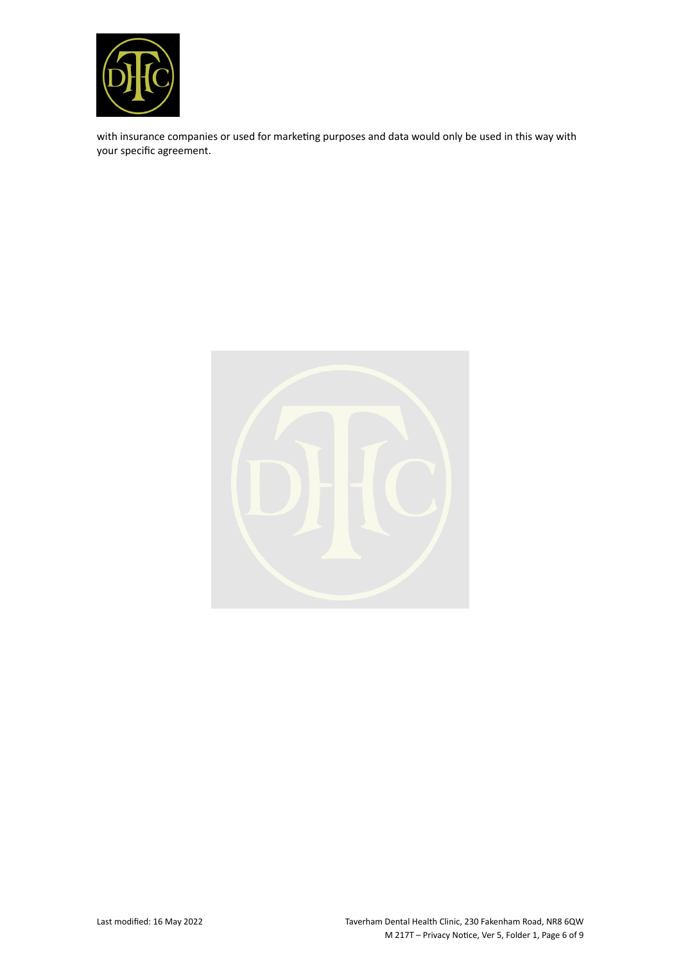

with insurance companies or used for marketing purposes and data would only be used in this way with your specific agreement.

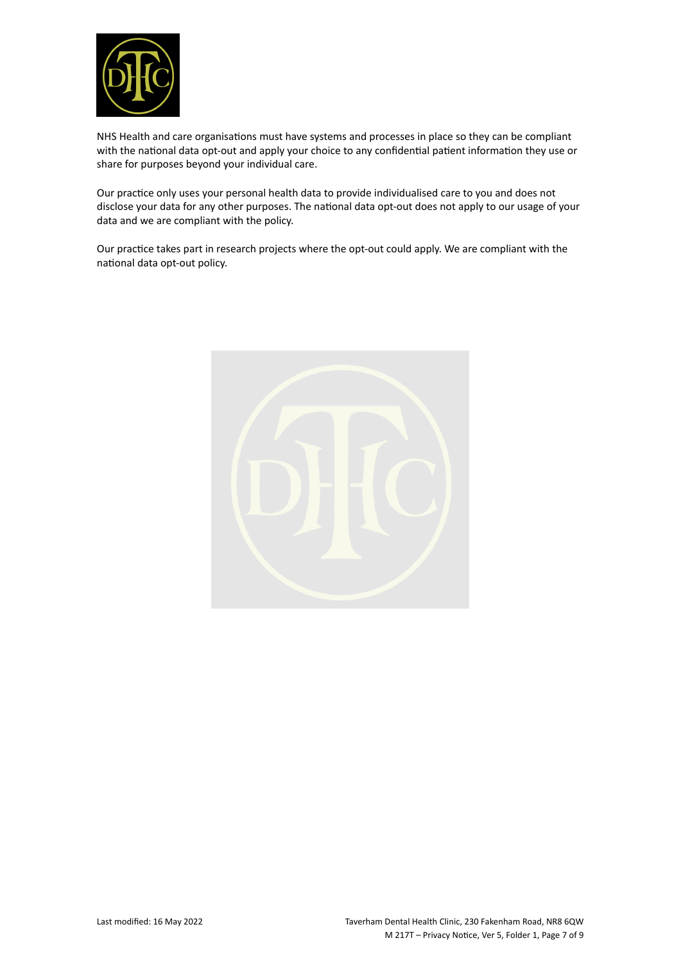

NHS Health and care organisations must have systems and processes in place so they can be compliant with the national data opt-out and apply your choice to any confidential patient information they use or share for purposes beyond your individual care.

Our practice only uses your personal health data to provide individualised care to you and does not disclose your data for any other purposes. The national data opt-out does not apply to our usage of your data and we are compliant with the policy.

Our practice takes part in research projects where the opt-out could apply. We are compliant with the national data opt-out policy.

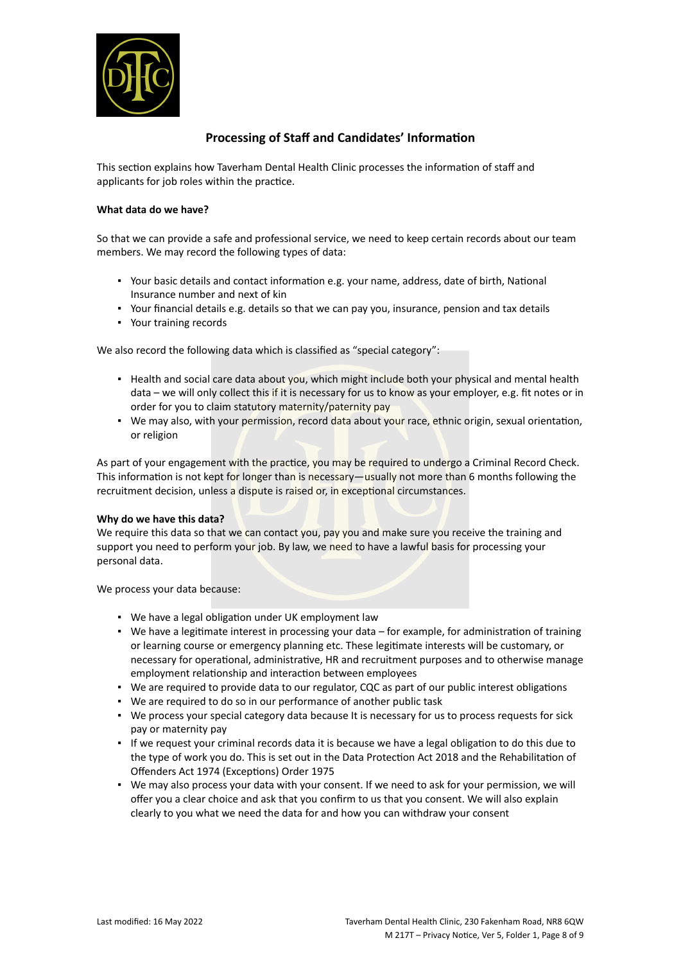

# **Processing of Staff and Candidates' Information**

This section explains how Taverham Dental Health Clinic processes the information of staff and applicants for job roles within the practice.

## **What data do we have?**

So that we can provide a safe and professional service, we need to keep certain records about our team members. We may record the following types of data:

- Your basic details and contact information e.g. your name, address, date of birth, National Insurance number and next of kin
- Your financial details e.g. details so that we can pay you, insurance, pension and tax details
- Your training records

We also record the following data which is classified as "special category":

- Health and social care data about you, which might include both your physical and mental health data – we will only collect this if it is necessary for us to know as your employer, e.g. fit notes or in order for you to claim statutory maternity/paternity pay
- . We may also, with your permission, record data about your race, ethnic origin, sexual orientation, or religion

As part of your engagement with the practice, you may be required to undergo a Criminal Record Check. This information is not kept for longer than is necessary—usually not more than 6 months following the recruitment decision, unless a dispute is raised or, in exceptional circumstances.

## **Why do we have this data?**

We require this data so that we can contact you, pay you and make sure you receive the training and support you need to perform your job. By law, we need to have a lawful basis for processing your personal data.

We process your data because:

- We have a legal obligation under UK employment law
- . We have a legitimate interest in processing your data for example, for administration of training or learning course or emergency planning etc. These legitimate interests will be customary, or necessary for operational, administrative, HR and recruitment purposes and to otherwise manage employment relationship and interaction between employees
- We are required to provide data to our regulator, CQC as part of our public interest obligations
- We are required to do so in our performance of another public task
- We process your special category data because It is necessary for us to process requests for sick pay or maternity pay
- If we request your criminal records data it is because we have a legal obligation to do this due to the type of work you do. This is set out in the Data Protection Act 2018 and the Rehabilitation of Offenders Act 1974 (Exceptions) Order 1975
- We may also process your data with your consent. If we need to ask for your permission, we will offer you a clear choice and ask that you confirm to us that you consent. We will also explain clearly to you what we need the data for and how you can withdraw your consent